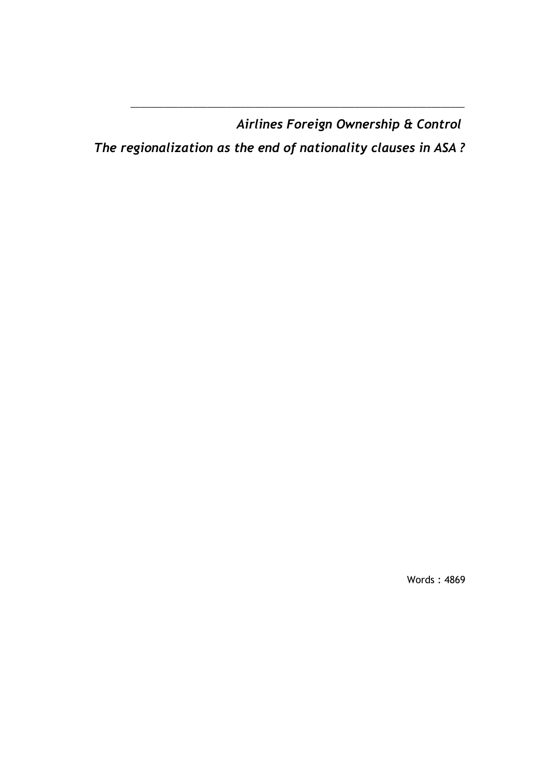*Airlines Foreign Ownership & Control*

*The regionalization as the end of nationality clauses in ASA ?* 

\_\_\_\_\_\_\_\_\_\_\_\_\_\_\_\_\_\_\_\_\_\_\_\_\_\_\_\_\_\_\_\_\_\_\_\_\_\_\_\_\_\_\_\_\_\_\_\_\_\_\_\_\_\_\_\_\_\_\_\_\_\_\_\_\_\_\_\_\_\_

Words : 4869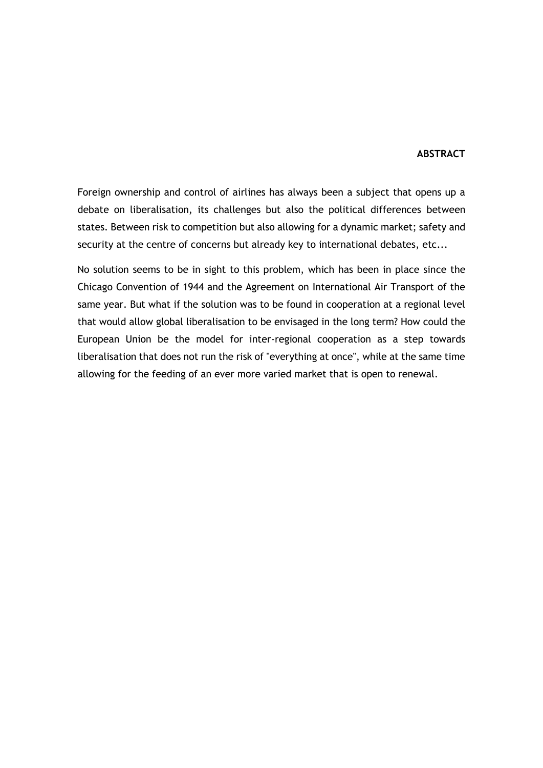#### **ABSTRACT**

Foreign ownership and control of airlines has always been a subject that opens up a debate on liberalisation, its challenges but also the political differences between states. Between risk to competition but also allowing for a dynamic market; safety and security at the centre of concerns but already key to international debates, etc...

No solution seems to be in sight to this problem, which has been in place since the Chicago Convention of 1944 and the Agreement on International Air Transport of the same year. But what if the solution was to be found in cooperation at a regional level that would allow global liberalisation to be envisaged in the long term? How could the European Union be the model for inter-regional cooperation as a step towards liberalisation that does not run the risk of "everything at once", while at the same time allowing for the feeding of an ever more varied market that is open to renewal.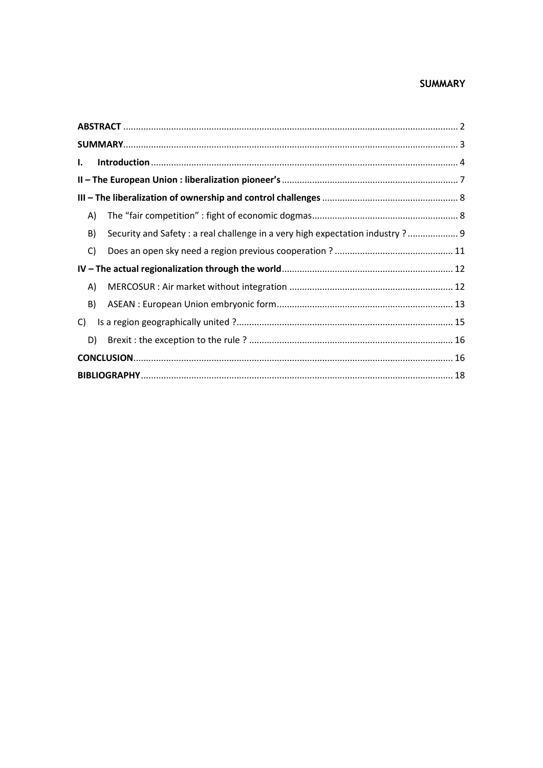# **SUMMARY**

| I. |                                                                                |  |  |
|----|--------------------------------------------------------------------------------|--|--|
|    |                                                                                |  |  |
|    |                                                                                |  |  |
| A) |                                                                                |  |  |
| B) | Security and Safety : a real challenge in a very high expectation industry ? 9 |  |  |
| C) |                                                                                |  |  |
|    |                                                                                |  |  |
| A) |                                                                                |  |  |
| B) |                                                                                |  |  |
| C) |                                                                                |  |  |
| D) |                                                                                |  |  |
|    |                                                                                |  |  |
|    |                                                                                |  |  |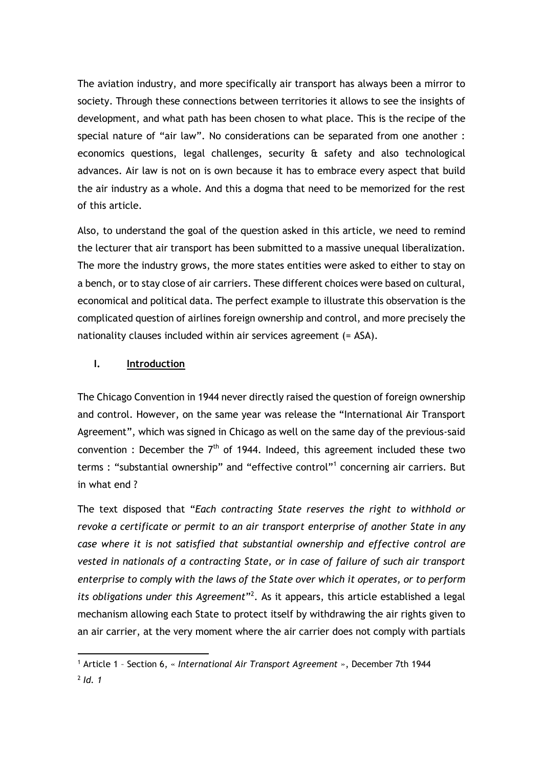The aviation industry, and more specifically air transport has always been a mirror to society. Through these connections between territories it allows to see the insights of development, and what path has been chosen to what place. This is the recipe of the special nature of "air law". No considerations can be separated from one another : economics questions, legal challenges, security & safety and also technological advances. Air law is not on is own because it has to embrace every aspect that build the air industry as a whole. And this a dogma that need to be memorized for the rest of this article.

Also, to understand the goal of the question asked in this article, we need to remind the lecturer that air transport has been submitted to a massive unequal liberalization. The more the industry grows, the more states entities were asked to either to stay on a bench, or to stay close of air carriers. These different choices were based on cultural, economical and political data. The perfect example to illustrate this observation is the complicated question of airlines foreign ownership and control, and more precisely the nationality clauses included within air services agreement (= ASA).

## **I. Introduction**

The Chicago Convention in 1944 never directly raised the question of foreign ownership and control. However, on the same year was release the "International Air Transport Agreement", which was signed in Chicago as well on the same day of the previous-said convention : December the  $7<sup>th</sup>$  of 1944. Indeed, this agreement included these two terms : "substantial ownership" and "effective control"<sup>1</sup> concerning air carriers. But in what end ?

The text disposed that "*Each contracting State reserves the right to withhold or revoke a certificate or permit to an air transport enterprise of another State in any case where it is not satisfied that substantial ownership and effective control are vested in nationals of a contracting State, or in case of failure of such air transport enterprise to comply with the laws of the State over which it operates, or to perform*  its obligations under this Agreement<sup>12</sup>. As it appears, this article established a legal mechanism allowing each State to protect itself by withdrawing the air rights given to an air carrier, at the very moment where the air carrier does not comply with partials

<sup>1</sup> Article 1 – Section 6, « *International Air Transport Agreement* », December 7th 1944 2 *Id. 1*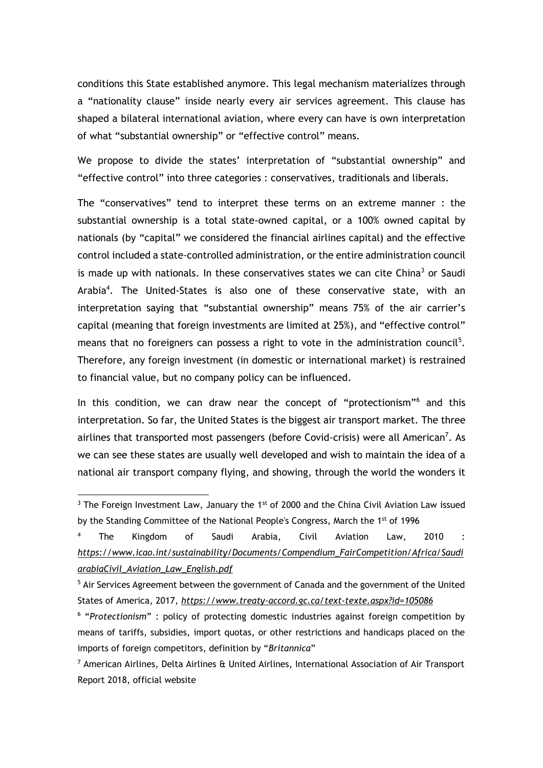conditions this State established anymore. This legal mechanism materializes through a "nationality clause" inside nearly every air services agreement. This clause has shaped a bilateral international aviation, where every can have is own interpretation of what "substantial ownership" or "effective control" means.

We propose to divide the states' interpretation of "substantial ownership" and "effective control" into three categories : conservatives, traditionals and liberals.

The "conservatives" tend to interpret these terms on an extreme manner : the substantial ownership is a total state-owned capital, or a 100% owned capital by nationals (by "capital" we considered the financial airlines capital) and the effective control included a state-controlled administration, or the entire administration council is made up with nationals. In these conservatives states we can cite China<sup>3</sup> or Saudi Arabia<sup>4</sup>. The United-States is also one of these conservative state, with an interpretation saying that "substantial ownership" means 75% of the air carrier's capital (meaning that foreign investments are limited at 25%), and "effective control" means that no foreigners can possess a right to vote in the administration council<sup>5</sup>. Therefore, any foreign investment (in domestic or international market) is restrained to financial value, but no company policy can be influenced.

In this condition, we can draw near the concept of "protectionism"<sup>6</sup> and this interpretation. So far, the United States is the biggest air transport market. The three airlines that transported most passengers (before Covid-crisis) were all American<sup>7</sup>. As we can see these states are usually well developed and wish to maintain the idea of a national air transport company flying, and showing, through the world the wonders it

 $3$  The Foreign Investment Law, January the  $1<sup>st</sup>$  of 2000 and the China Civil Aviation Law issued by the Standing Committee of the National People's Congress, March the 1<sup>st</sup> of 1996

<sup>4</sup> The Kingdom of Saudi Arabia, Civil Aviation Law, 2010 : *https://www.icao.int/sustainability/Documents/Compendium\_FairCompetition/Africa/Saudi arabiaCivil\_Aviation\_Law\_English.pdf*

<sup>&</sup>lt;sup>5</sup> Air Services Agreement between the government of Canada and the government of the United States of America, 2017, *https://www.treaty-accord.gc.ca/text-texte.aspx?id=105086*

<sup>6</sup> "*Protectionism*" : policy of protecting domestic industries against foreign competition by means of tariffs, subsidies, import quotas, or other restrictions and handicaps placed on the imports of foreign competitors, definition by "*Britannica*"

<sup>7</sup> American Airlines, Delta Airlines & United Airlines, International Association of Air Transport Report 2018, official website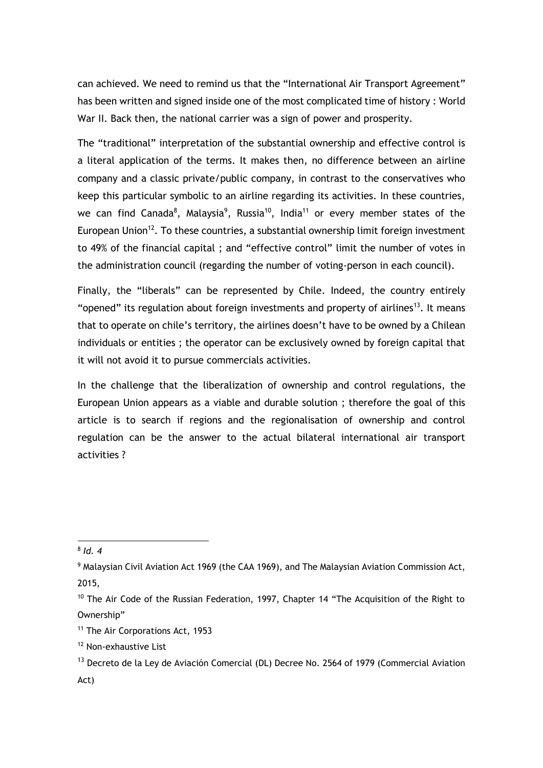can achieved. We need to remind us that the "International Air Transport Agreement" has been written and signed inside one of the most complicated time of history : World War II. Back then, the national carrier was a sign of power and prosperity.

The "traditional" interpretation of the substantial ownership and effective control is a literal application of the terms. It makes then, no difference between an airline company and a classic private/public company, in contrast to the conservatives who keep this particular symbolic to an airline regarding its activities. In these countries, we can find Canada<sup>8</sup>, Malaysia<sup>9</sup>, Russia<sup>10</sup>, India<sup>11</sup> or every member states of the European Union<sup>12</sup>. To these countries, a substantial ownership limit foreign investment to 49% of the financial capital ; and "effective control" limit the number of votes in the administration council (regarding the number of voting-person in each council).

Finally, the "liberals" can be represented by Chile. Indeed, the country entirely "opened" its regulation about foreign investments and property of airlines<sup>13</sup>. It means that to operate on chile's territory, the airlines doesn't have to be owned by a Chilean individuals or entities ; the operator can be exclusively owned by foreign capital that it will not avoid it to pursue commercials activities.

In the challenge that the liberalization of ownership and control regulations, the European Union appears as a viable and durable solution ; therefore the goal of this article is to search if regions and the regionalisation of ownership and control regulation can be the answer to the actual bilateral international air transport activities ?

<sup>8</sup> *Id. 4*

<sup>&</sup>lt;sup>9</sup> Malaysian Civil Aviation Act 1969 (the CAA 1969), and The Malaysian Aviation Commission Act, 2015,

<sup>&</sup>lt;sup>10</sup> The Air Code of the Russian Federation, 1997, Chapter 14 "The Acquisition of the Right to Ownership"

<sup>&</sup>lt;sup>11</sup> The Air Corporations Act, 1953

<sup>12</sup> Non-exhaustive List

 $13$  Decreto de la Ley de Aviación Comercial (DL) Decree No. 2564 of 1979 (Commercial Aviation Act)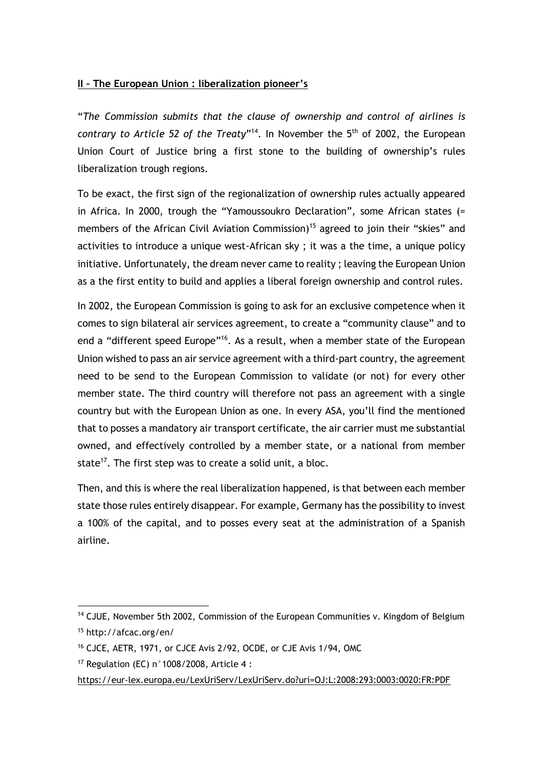# **II – The European Union : liberalization pioneer's**

"*The Commission submits that the clause of ownership and control of airlines is*  contrary to Article 52 of the Treaty"<sup>14</sup>. In November the 5<sup>th</sup> of 2002, the European Union Court of Justice bring a first stone to the building of ownership's rules liberalization trough regions.

To be exact, the first sign of the regionalization of ownership rules actually appeared in Africa. In 2000, trough the "Yamoussoukro Declaration", some African states (= members of the African Civil Aviation Commission)<sup>15</sup> agreed to join their "skies" and activities to introduce a unique west-African sky ; it was a the time, a unique policy initiative. Unfortunately, the dream never came to reality ; leaving the European Union as a the first entity to build and applies a liberal foreign ownership and control rules.

In 2002, the European Commission is going to ask for an exclusive competence when it comes to sign bilateral air services agreement, to create a "community clause" and to end a "different speed Europe"<sup>16</sup>. As a result, when a member state of the European Union wished to pass an air service agreement with a third-part country, the agreement need to be send to the European Commission to validate (or not) for every other member state. The third country will therefore not pass an agreement with a single country but with the European Union as one. In every ASA, you'll find the mentioned that to posses a mandatory air transport certificate, the air carrier must me substantial owned, and effectively controlled by a member state, or a national from member state<sup>17</sup>. The first step was to create a solid unit, a bloc.

Then, and this is where the real liberalization happened, is that between each member state those rules entirely disappear. For example, Germany has the possibility to invest a 100% of the capital, and to posses every seat at the administration of a Spanish airline.

 $14$  CJUE, November 5th 2002, Commission of the European Communities v. Kingdom of Belgium <sup>15</sup> http://afcac.org/en/

<sup>16</sup> CJCE, AETR, 1971, or CJCE Avis 2/92, OCDE, or CJE Avis 1/94, OMC

<sup>&</sup>lt;sup>17</sup> Regulation (EC)  $n^{\circ}$  1008/2008, Article 4 :

https://eur-lex.europa.eu/LexUriServ/LexUriServ.do?uri=OJ:L:2008:293:0003:0020:FR:PDF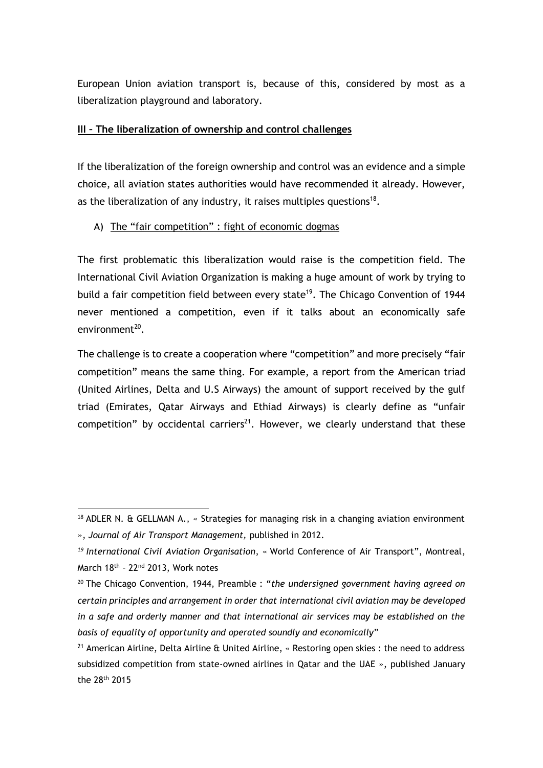European Union aviation transport is, because of this, considered by most as a liberalization playground and laboratory.

### **III – The liberalization of ownership and control challenges**

If the liberalization of the foreign ownership and control was an evidence and a simple choice, all aviation states authorities would have recommended it already. However, as the liberalization of any industry, it raises multiples questions<sup>18</sup>.

# A) The "fair competition" : fight of economic dogmas

The first problematic this liberalization would raise is the competition field. The International Civil Aviation Organization is making a huge amount of work by trying to build a fair competition field between every state<sup>19</sup>. The Chicago Convention of 1944 never mentioned a competition, even if it talks about an economically safe environment<sup>20</sup>.

The challenge is to create a cooperation where "competition" and more precisely "fair competition" means the same thing. For example, a report from the American triad (United Airlines, Delta and U.S Airways) the amount of support received by the gulf triad (Emirates, Qatar Airways and Ethiad Airways) is clearly define as "unfair competition" by occidental carriers<sup>21</sup>. However, we clearly understand that these

 $18$  ADLER N. & GELLMAN A.,  $\cdot$  Strategies for managing risk in a changing aviation environment », *Journal of Air Transport Management,* published in 2012.

*<sup>19</sup> International Civil Aviation Organisation*, « World Conference of Air Transport", Montreal, March 18<sup>th</sup> - 22<sup>nd</sup> 2013, Work notes

<sup>20</sup> The Chicago Convention, 1944, Preamble : "*the undersigned government having agreed on certain principles and arrangement in order that international civil aviation may be developed in a safe and orderly manner and that international air services may be established on the basis of equality of opportunity and operated soundly and economically*"

<sup>&</sup>lt;sup>21</sup> American Airline, Delta Airline & United Airline, « Restoring open skies : the need to address subsidized competition from state-owned airlines in Qatar and the UAE », published January the 28th 2015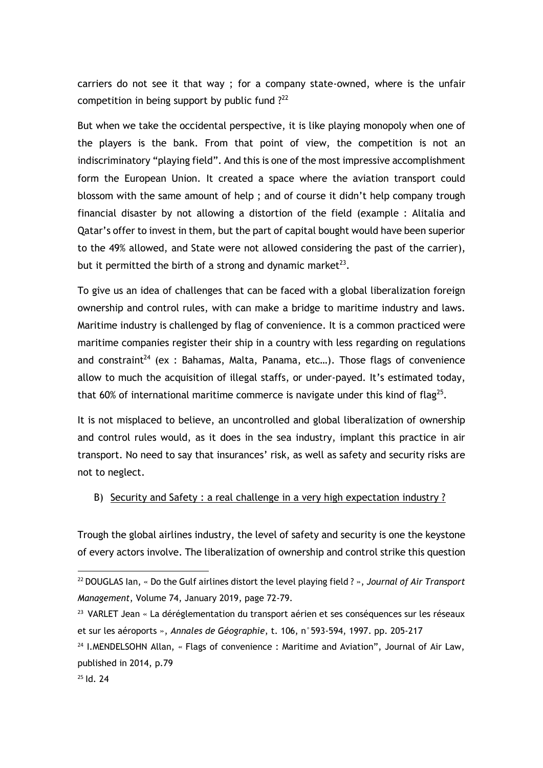carriers do not see it that way ; for a company state-owned, where is the unfair competition in being support by public fund  $?^{22}$ 

But when we take the occidental perspective, it is like playing monopoly when one of the players is the bank. From that point of view, the competition is not an indiscriminatory "playing field". And this is one of the most impressive accomplishment form the European Union. It created a space where the aviation transport could blossom with the same amount of help ; and of course it didn't help company trough financial disaster by not allowing a distortion of the field (example : Alitalia and Qatar's offer to invest in them, but the part of capital bought would have been superior to the 49% allowed, and State were not allowed considering the past of the carrier), but it permitted the birth of a strong and dynamic market $^{23}$ .

To give us an idea of challenges that can be faced with a global liberalization foreign ownership and control rules, with can make a bridge to maritime industry and laws. Maritime industry is challenged by flag of convenience. It is a common practiced were maritime companies register their ship in a country with less regarding on regulations and constraint<sup>24</sup> (ex : Bahamas, Malta, Panama, etc...). Those flags of convenience allow to much the acquisition of illegal staffs, or under-payed. It's estimated today, that 60% of international maritime commerce is navigate under this kind of flag<sup>25</sup>.

It is not misplaced to believe, an uncontrolled and global liberalization of ownership and control rules would, as it does in the sea industry, implant this practice in air transport. No need to say that insurances' risk, as well as safety and security risks are not to neglect.

### B) Security and Safety : a real challenge in a very high expectation industry ?

Trough the global airlines industry, the level of safety and security is one the keystone of every actors involve. The liberalization of ownership and control strike this question

<sup>22</sup> DOUGLAS Ian, « Do the Gulf airlines distort the level playing field ? », *Journal of Air Transport Management*, Volume 74, January 2019, page 72-79.

<sup>23</sup> VARLET Jean « La déréglementation du transport aérien et ses conséquences sur les réseaux et sur les aéroports », *Annales de Géographie*, t. 106, n°593-594, 1997. pp. 205-217

<sup>&</sup>lt;sup>24</sup> I.MENDELSOHN Allan, « Flags of convenience : Maritime and Aviation", Journal of Air Law, published in 2014, p.79

<sup>25</sup> Id. 24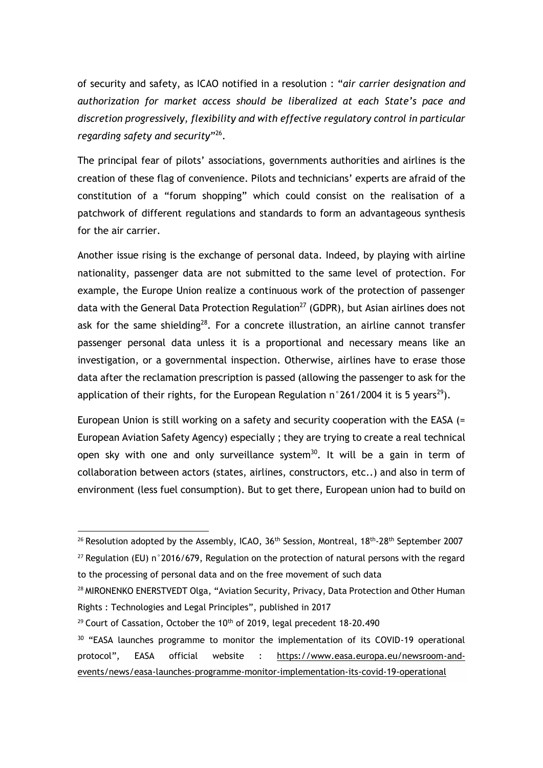of security and safety, as ICAO notified in a resolution : "*air carrier designation and authorization for market access should be liberalized at each State's pace and discretion progressively, flexibility and with effective regulatory control in particular regarding safety and security*" 26 .

The principal fear of pilots' associations, governments authorities and airlines is the creation of these flag of convenience. Pilots and technicians' experts are afraid of the constitution of a "forum shopping" which could consist on the realisation of a patchwork of different regulations and standards to form an advantageous synthesis for the air carrier.

Another issue rising is the exchange of personal data. Indeed, by playing with airline nationality, passenger data are not submitted to the same level of protection. For example, the Europe Union realize a continuous work of the protection of passenger data with the General Data Protection Regulation<sup>27</sup> (GDPR), but Asian airlines does not ask for the same shielding<sup>28</sup>. For a concrete illustration, an airline cannot transfer passenger personal data unless it is a proportional and necessary means like an investigation, or a governmental inspection. Otherwise, airlines have to erase those data after the reclamation prescription is passed (allowing the passenger to ask for the application of their rights, for the European Regulation  $n^{\circ}$ 261/2004 it is 5 years<sup>29</sup>).

European Union is still working on a safety and security cooperation with the EASA (= European Aviation Safety Agency) especially ; they are trying to create a real technical open sky with one and only surveillance system<sup>30</sup>. It will be a gain in term of collaboration between actors (states, airlines, constructors, etc..) and also in term of environment (less fuel consumption). But to get there, European union had to build on

<sup>&</sup>lt;sup>26</sup> Resolution adopted by the Assembly, ICAO, 36<sup>th</sup> Session, Montreal, 18<sup>th</sup>-28<sup>th</sup> September 2007  $27$  Regulation (EU) n°2016/679, Regulation on the protection of natural persons with the regard

to the processing of personal data and on the free movement of such data

<sup>28</sup> MIRONENKO ENERSTVEDT Olga, "Aviation Security, Privacy, Data Protection and Other Human Rights : Technologies and Legal Principles", published in 2017

 $29$  Court of Cassation, October the 10<sup>th</sup> of 2019, legal precedent 18-20.490

<sup>&</sup>lt;sup>30</sup> "EASA launches programme to monitor the implementation of its COVID-19 operational protocol", EASA official website : https://www.easa.europa.eu/newsroom-andevents/news/easa-launches-programme-monitor-implementation-its-covid-19-operational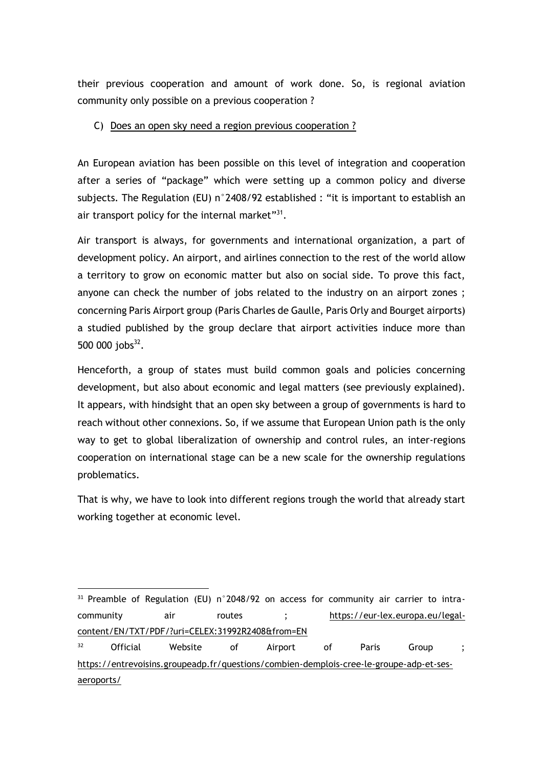their previous cooperation and amount of work done. So, is regional aviation community only possible on a previous cooperation ?

## C) Does an open sky need a region previous cooperation ?

An European aviation has been possible on this level of integration and cooperation after a series of "package" which were setting up a common policy and diverse subjects. The Regulation (EU) n°2408/92 established : "it is important to establish an air transport policy for the internal market"<sup>31</sup>.

Air transport is always, for governments and international organization, a part of development policy. An airport, and airlines connection to the rest of the world allow a territory to grow on economic matter but also on social side. To prove this fact, anyone can check the number of jobs related to the industry on an airport zones ; concerning Paris Airport group (Paris Charles de Gaulle, Paris Orly and Bourget airports) a studied published by the group declare that airport activities induce more than  $500\ 000\ jobs<sup>32</sup>$ .

Henceforth, a group of states must build common goals and policies concerning development, but also about economic and legal matters (see previously explained). It appears, with hindsight that an open sky between a group of governments is hard to reach without other connexions. So, if we assume that European Union path is the only way to get to global liberalization of ownership and control rules, an inter-regions cooperation on international stage can be a new scale for the ownership regulations problematics.

That is why, we have to look into different regions trough the world that already start working together at economic level.

<sup>&</sup>lt;sup>31</sup> Preamble of Regulation (EU) n°2048/92 on access for community air carrier to intracommunity air routes ; https://eur-lex.europa.eu/legalcontent/EN/TXT/PDF/?uri=CELEX:31992R2408&from=EN

<sup>&</sup>lt;sup>32</sup> Official Website of Airport of Paris Group ; https://entrevoisins.groupeadp.fr/questions/combien-demplois-cree-le-groupe-adp-et-sesaeroports/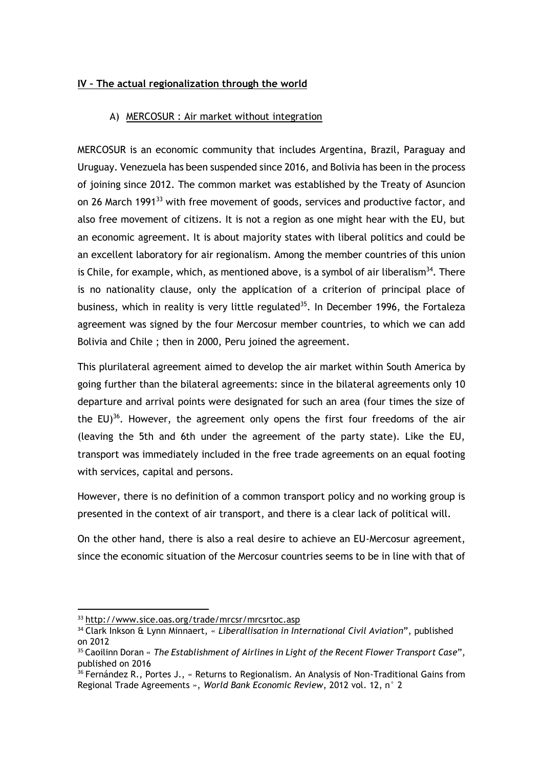# **IV – The actual regionalization through the world**

### A) MERCOSUR : Air market without integration

MERCOSUR is an economic community that includes Argentina, Brazil, Paraguay and Uruguay. Venezuela has been suspended since 2016, and Bolivia has been in the process of joining since 2012. The common market was established by the Treaty of Asuncion on 26 March 1991<sup>33</sup> with free movement of goods, services and productive factor, and also free movement of citizens. It is not a region as one might hear with the EU, but an economic agreement. It is about majority states with liberal politics and could be an excellent laboratory for air regionalism. Among the member countries of this union is Chile, for example, which, as mentioned above, is a symbol of air liberalism<sup>34</sup>. There is no nationality clause, only the application of a criterion of principal place of business, which in reality is very little regulated<sup>35</sup>. In December 1996, the Fortaleza agreement was signed by the four Mercosur member countries, to which we can add Bolivia and Chile ; then in 2000, Peru joined the agreement.

This plurilateral agreement aimed to develop the air market within South America by going further than the bilateral agreements: since in the bilateral agreements only 10 departure and arrival points were designated for such an area (four times the size of the  $EU^{36}$ . However, the agreement only opens the first four freedoms of the air (leaving the 5th and 6th under the agreement of the party state). Like the EU, transport was immediately included in the free trade agreements on an equal footing with services, capital and persons.

However, there is no definition of a common transport policy and no working group is presented in the context of air transport, and there is a clear lack of political will.

On the other hand, there is also a real desire to achieve an EU-Mercosur agreement, since the economic situation of the Mercosur countries seems to be in line with that of

<sup>33</sup> http://www.sice.oas.org/trade/mrcsr/mrcsrtoc.asp

<sup>34</sup> Clark Inkson & Lynn Minnaert, « *Liberallisation in International Civil Aviation*", published on 2012

<sup>35</sup> Caoilinn Doran « *The Establishment of Airlines in Light of the Recent Flower Transport Case*", published on 2016

<sup>&</sup>lt;sup>36</sup> Fernández R., Portes J., « Returns to Regionalism. An Analysis of Non-Traditional Gains from Regional Trade Agreements », *World Bank Economic Review*, 2012 vol. 12, n° 2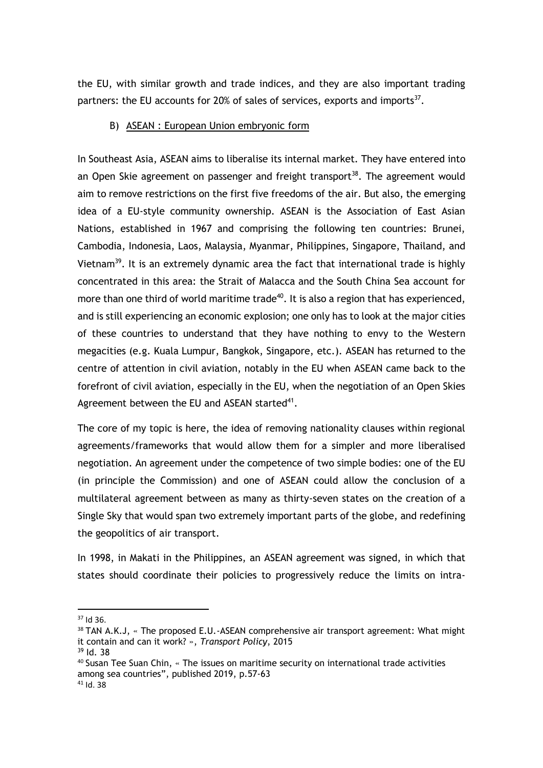the EU, with similar growth and trade indices, and they are also important trading partners: the EU accounts for 20% of sales of services, exports and imports $37$ .

### B) ASEAN : European Union embryonic form

In Southeast Asia, ASEAN aims to liberalise its internal market. They have entered into an Open Skie agreement on passenger and freight transport<sup>38</sup>. The agreement would aim to remove restrictions on the first five freedoms of the air. But also, the emerging idea of a EU-style community ownership. ASEAN is the Association of East Asian Nations, established in 1967 and comprising the following ten countries: Brunei, Cambodia, Indonesia, Laos, Malaysia, Myanmar, Philippines, Singapore, Thailand, and Vietnam<sup>39</sup>. It is an extremely dynamic area the fact that international trade is highly concentrated in this area: the Strait of Malacca and the South China Sea account for more than one third of world maritime trade<sup>40</sup>. It is also a region that has experienced, and is still experiencing an economic explosion; one only has to look at the major cities of these countries to understand that they have nothing to envy to the Western megacities (e.g. Kuala Lumpur, Bangkok, Singapore, etc.). ASEAN has returned to the centre of attention in civil aviation, notably in the EU when ASEAN came back to the forefront of civil aviation, especially in the EU, when the negotiation of an Open Skies Agreement between the EU and ASEAN started<sup>41</sup>.

The core of my topic is here, the idea of removing nationality clauses within regional agreements/frameworks that would allow them for a simpler and more liberalised negotiation. An agreement under the competence of two simple bodies: one of the EU (in principle the Commission) and one of ASEAN could allow the conclusion of a multilateral agreement between as many as thirty-seven states on the creation of a Single Sky that would span two extremely important parts of the globe, and redefining the geopolitics of air transport.

In 1998, in Makati in the Philippines, an ASEAN agreement was signed, in which that states should coordinate their policies to progressively reduce the limits on intra-

<sup>37</sup> Id 36.

<sup>&</sup>lt;sup>38</sup> TAN A.K.J, « The proposed E.U.-ASEAN comprehensive air transport agreement: What might it contain and can it work? », *Transport Policy*, 2015

<sup>39</sup> Id. 38

<sup>40</sup> Susan Tee Suan Chin, « The issues on maritime security on international trade activities among sea countries", published 2019, p.57-63  $41$  Id. 38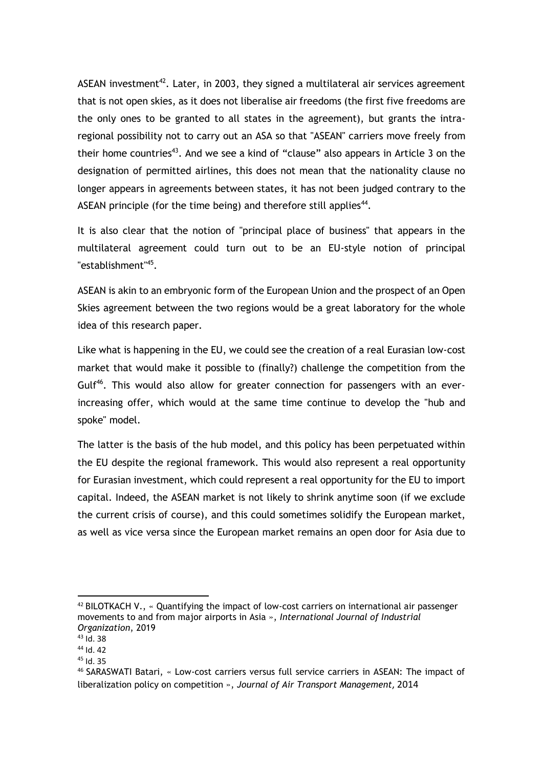ASEAN investment $42$ . Later, in 2003, they signed a multilateral air services agreement that is not open skies, as it does not liberalise air freedoms (the first five freedoms are the only ones to be granted to all states in the agreement), but grants the intraregional possibility not to carry out an ASA so that "ASEAN" carriers move freely from their home countries<sup>43</sup>. And we see a kind of "clause" also appears in Article 3 on the designation of permitted airlines, this does not mean that the nationality clause no longer appears in agreements between states, it has not been judged contrary to the ASEAN principle (for the time being) and therefore still applies<sup>44</sup>.

It is also clear that the notion of "principal place of business" that appears in the multilateral agreement could turn out to be an EU-style notion of principal "establishment"<sup>45</sup>.

ASEAN is akin to an embryonic form of the European Union and the prospect of an Open Skies agreement between the two regions would be a great laboratory for the whole idea of this research paper.

Like what is happening in the EU, we could see the creation of a real Eurasian low-cost market that would make it possible to (finally?) challenge the competition from the Gulf<sup>46</sup>. This would also allow for greater connection for passengers with an everincreasing offer, which would at the same time continue to develop the "hub and spoke" model.

The latter is the basis of the hub model, and this policy has been perpetuated within the EU despite the regional framework. This would also represent a real opportunity for Eurasian investment, which could represent a real opportunity for the EU to import capital. Indeed, the ASEAN market is not likely to shrink anytime soon (if we exclude the current crisis of course), and this could sometimes solidify the European market, as well as vice versa since the European market remains an open door for Asia due to

 $42$  BILOTKACH V.,  $\cdot$  Ouantifying the impact of low-cost carriers on international air passenger movements to and from major airports in Asia », *International Journal of Industrial Organization*, 2019

<sup>43</sup> Id. 38

 $44$  Id. 42

<sup>45</sup> Id. 35

<sup>46</sup> SARASWATI Batari, « Low-cost carriers versus full service carriers in ASEAN: The impact of liberalization policy on competition », *Journal of Air Transport Management*, 2014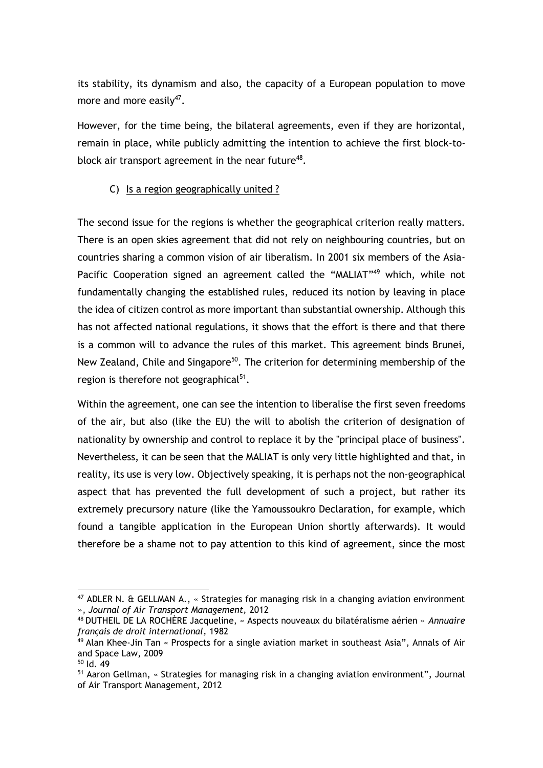its stability, its dynamism and also, the capacity of a European population to move more and more easily $47$ .

However, for the time being, the bilateral agreements, even if they are horizontal, remain in place, while publicly admitting the intention to achieve the first block-toblock air transport agreement in the near future<sup>48</sup>.

# C) Is a region geographically united ?

The second issue for the regions is whether the geographical criterion really matters. There is an open skies agreement that did not rely on neighbouring countries, but on countries sharing a common vision of air liberalism. In 2001 six members of the Asia-Pacific Cooperation signed an agreement called the "MALIAT"<sup>49</sup> which, while not fundamentally changing the established rules, reduced its notion by leaving in place the idea of citizen control as more important than substantial ownership. Although this has not affected national regulations, it shows that the effort is there and that there is a common will to advance the rules of this market. This agreement binds Brunei, New Zealand, Chile and Singapore<sup>50</sup>. The criterion for determining membership of the region is therefore not geographical<sup>51</sup>.

Within the agreement, one can see the intention to liberalise the first seven freedoms of the air, but also (like the EU) the will to abolish the criterion of designation of nationality by ownership and control to replace it by the "principal place of business". Nevertheless, it can be seen that the MALIAT is only very little highlighted and that, in reality, its use is very low. Objectively speaking, it is perhaps not the non-geographical aspect that has prevented the full development of such a project, but rather its extremely precursory nature (like the Yamoussoukro Declaration, for example, which found a tangible application in the European Union shortly afterwards). It would therefore be a shame not to pay attention to this kind of agreement, since the most

 $47$  ADLER N. & GELLMAN A., « Strategies for managing risk in a changing aviation environment », *Journal of Air Transport Management,* 2012

<sup>48</sup> DUTHEIL DE LA ROCHÈRE Jacqueline, « Aspects nouveaux du bilatéralisme aérien » *Annuaire français de droit international,* 1982

<sup>49</sup> Alan Khee-Jin Tan « Prospects for a single aviation market in southeast Asia", Annals of Air and Space Law, 2009

<sup>50</sup> Id. 49

<sup>&</sup>lt;sup>51</sup> Aaron Gellman, « Strategies for managing risk in a changing aviation environment", Journal of Air Transport Management, 2012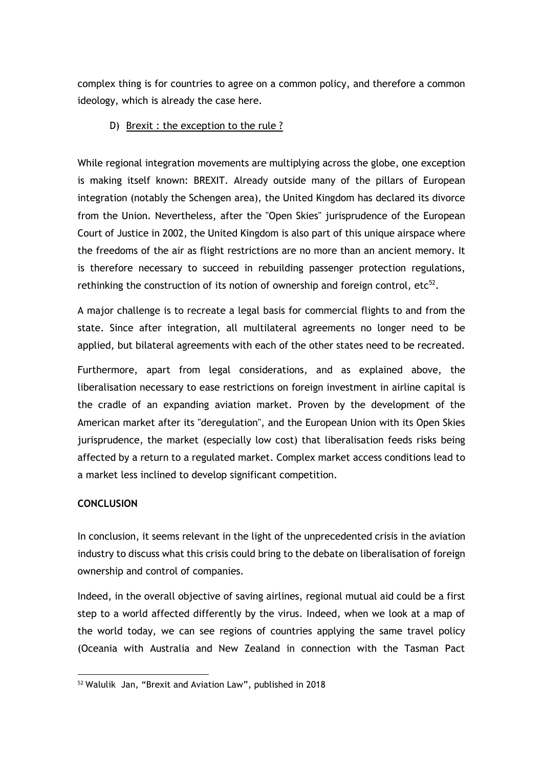complex thing is for countries to agree on a common policy, and therefore a common ideology, which is already the case here.

## D) Brexit : the exception to the rule ?

While regional integration movements are multiplying across the globe, one exception is making itself known: BREXIT. Already outside many of the pillars of European integration (notably the Schengen area), the United Kingdom has declared its divorce from the Union. Nevertheless, after the "Open Skies" jurisprudence of the European Court of Justice in 2002, the United Kingdom is also part of this unique airspace where the freedoms of the air as flight restrictions are no more than an ancient memory. It is therefore necessary to succeed in rebuilding passenger protection regulations, rethinking the construction of its notion of ownership and foreign control, etc $52$ .

A major challenge is to recreate a legal basis for commercial flights to and from the state. Since after integration, all multilateral agreements no longer need to be applied, but bilateral agreements with each of the other states need to be recreated.

Furthermore, apart from legal considerations, and as explained above, the liberalisation necessary to ease restrictions on foreign investment in airline capital is the cradle of an expanding aviation market. Proven by the development of the American market after its "deregulation", and the European Union with its Open Skies jurisprudence, the market (especially low cost) that liberalisation feeds risks being affected by a return to a regulated market. Complex market access conditions lead to a market less inclined to develop significant competition.

# **CONCLUSION**

In conclusion, it seems relevant in the light of the unprecedented crisis in the aviation industry to discuss what this crisis could bring to the debate on liberalisation of foreign ownership and control of companies.

Indeed, in the overall objective of saving airlines, regional mutual aid could be a first step to a world affected differently by the virus. Indeed, when we look at a map of the world today, we can see regions of countries applying the same travel policy (Oceania with Australia and New Zealand in connection with the Tasman Pact

<sup>52</sup> Walulik Jan, "Brexit and Aviation Law", published in 2018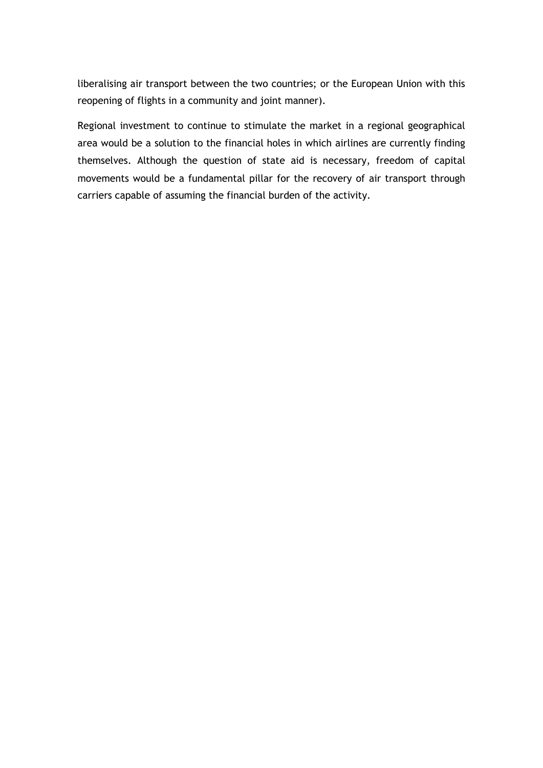liberalising air transport between the two countries; or the European Union with this reopening of flights in a community and joint manner).

Regional investment to continue to stimulate the market in a regional geographical area would be a solution to the financial holes in which airlines are currently finding themselves. Although the question of state aid is necessary, freedom of capital movements would be a fundamental pillar for the recovery of air transport through carriers capable of assuming the financial burden of the activity.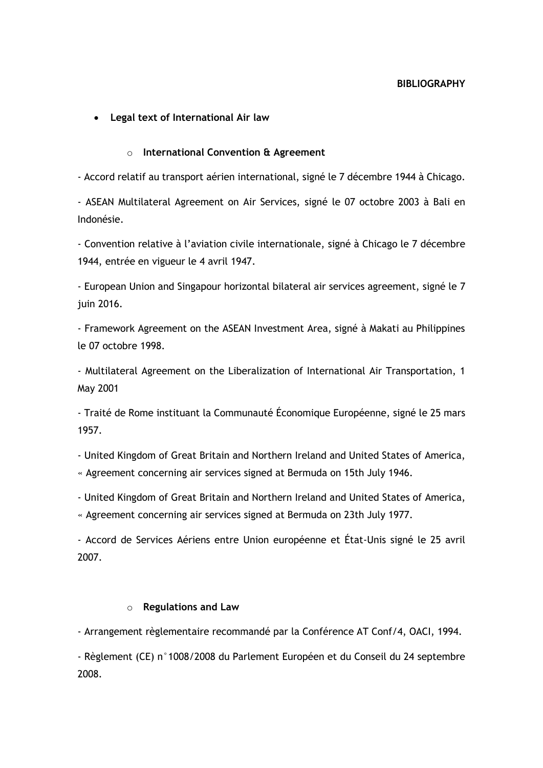## • **Legal text of International Air law**

### o **International Convention & Agreement**

- Accord relatif au transport aérien international, signé le 7 décembre 1944 à Chicago.

- ASEAN Multilateral Agreement on Air Services, signé le 07 octobre 2003 à Bali en Indonésie.

- Convention relative à l'aviation civile internationale, signé à Chicago le 7 décembre 1944, entrée en vigueur le 4 avril 1947.

- European Union and Singapour horizontal bilateral air services agreement, signé le 7 juin 2016.

- Framework Agreement on the ASEAN Investment Area, signé à Makati au Philippines le 07 octobre 1998.

- Multilateral Agreement on the Liberalization of International Air Transportation, 1 May 2001

- Traité de Rome instituant la Communauté Économique Européenne, signé le 25 mars 1957.

- United Kingdom of Great Britain and Northern Ireland and United States of America,

« Agreement concerning air services signed at Bermuda on 15th July 1946.

- United Kingdom of Great Britain and Northern Ireland and United States of America,

« Agreement concerning air services signed at Bermuda on 23th July 1977.

- Accord de Services Aériens entre Union européenne et État-Unis signé le 25 avril 2007.

#### o **Regulations and Law**

- Arrangement règlementaire recommandé par la Conférence AT Conf/4, OACI, 1994.

- Règlement (CE) n°1008/2008 du Parlement Européen et du Conseil du 24 septembre 2008.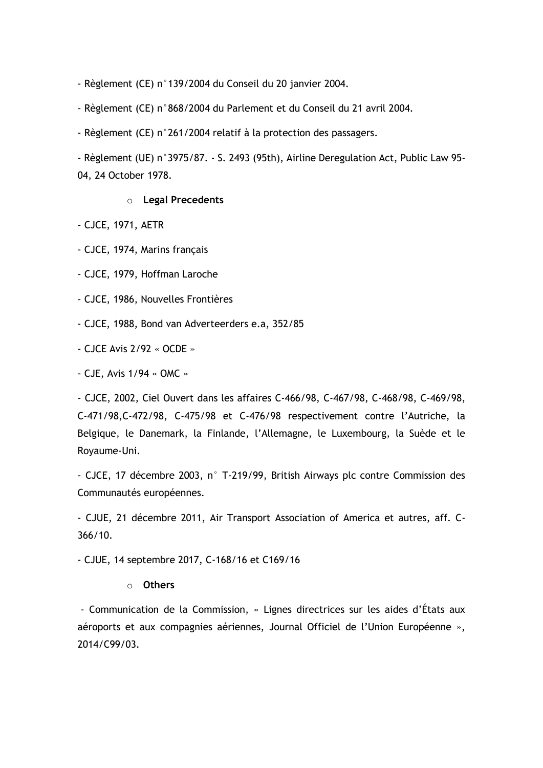- Règlement (CE) n°139/2004 du Conseil du 20 janvier 2004.

- Règlement (CE) n°868/2004 du Parlement et du Conseil du 21 avril 2004.

- Règlement (CE) n°261/2004 relatif à la protection des passagers.

- Règlement (UE) n°3975/87. - S. 2493 (95th), Airline Deregulation Act, Public Law 95- 04, 24 October 1978.

#### o **Legal Precedents**

- CJCE, 1971, AETR

- CJCE, 1974, Marins français

- CJCE, 1979, Hoffman Laroche

- CJCE, 1986, Nouvelles Frontières

- CJCE, 1988, Bond van Adverteerders e.a, 352/85

- CJCE Avis 2/92 « OCDE »

- CJE, Avis 1/94 « OMC »

- CJCE, 2002, Ciel Ouvert dans les affaires C-466/98, C-467/98, C-468/98, C-469/98, C-471/98,C-472/98, C-475/98 et C-476/98 respectivement contre l'Autriche, la Belgique, le Danemark, la Finlande, l'Allemagne, le Luxembourg, la Suède et le Royaume-Uni.

- CJCE, 17 décembre 2003, n° T-219/99, British Airways plc contre Commission des Communautés européennes.

- CJUE, 21 décembre 2011, Air Transport Association of America et autres, aff. C-366/10.

- CJUE, 14 septembre 2017, C-168/16 et C169/16

#### o **Others**

- Communication de la Commission, « Lignes directrices sur les aides d'États aux aéroports et aux compagnies aériennes, Journal Officiel de l'Union Européenne », 2014/C99/03.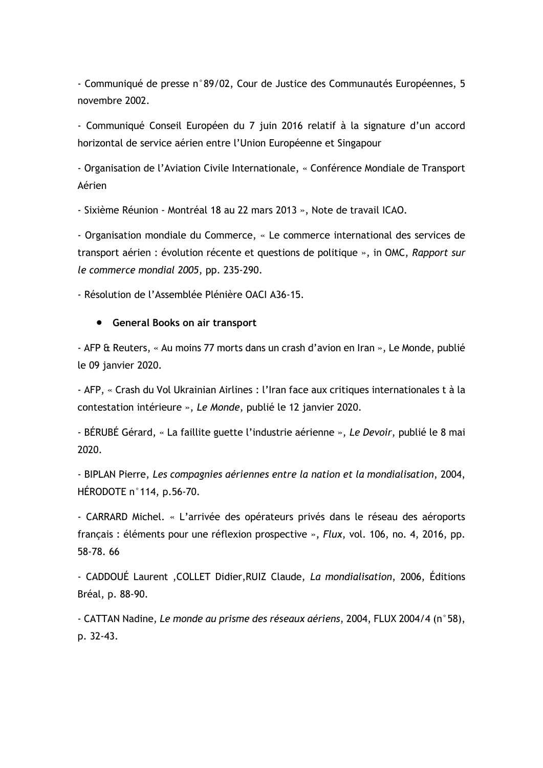- Communiqué de presse n°89/02, Cour de Justice des Communautés Européennes, 5 novembre 2002.

- Communiqué Conseil Européen du 7 juin 2016 relatif à la signature d'un accord horizontal de service aérien entre l'Union Européenne et Singapour

- Organisation de l'Aviation Civile Internationale, « Conférence Mondiale de Transport Aérien

- Sixième Réunion - Montréal 18 au 22 mars 2013 », Note de travail ICAO.

- Organisation mondiale du Commerce, « Le commerce international des services de transport aérien : évolution récente et questions de politique », in OMC, *Rapport sur le commerce mondial 2005*, pp. 235-290.

- Résolution de l'Assemblée Plénière OACI A36-15.

#### • **General Books on air transport**

- AFP & Reuters, « Au moins 77 morts dans un crash d'avion en Iran », Le Monde, publié le 09 janvier 2020.

- AFP, « Crash du Vol Ukrainian Airlines : l'Iran face aux critiques internationales t à la contestation intérieure », *Le Monde*, publié le 12 janvier 2020.

- BÉRUBÉ Gérard, « La faillite guette l'industrie aérienne », *Le Devoir*, publié le 8 mai 2020.

- BIPLAN Pierre, *Les compagnies aériennes entre la nation et la mondialisation*, 2004, HÉRODOTE n°114, p.56-70.

- CARRARD Michel. « L'arrivée des opérateurs privés dans le réseau des aéroports français : éléments pour une réflexion prospective », *Flux*, vol. 106, no. 4, 2016, pp. 58-78. 66

- CADDOUÉ Laurent ,COLLET Didier,RUIZ Claude, *La mondialisation*, 2006, Éditions Bréal, p. 88-90.

- CATTAN Nadine, *Le monde au prisme des réseaux aériens*, 2004, FLUX 2004/4 (n°58), p. 32-43.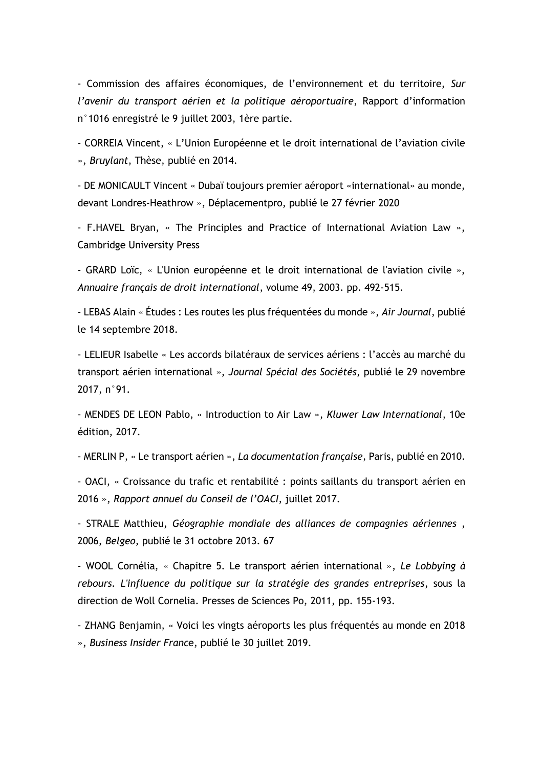- Commission des affaires économiques, de l'environnement et du territoire, *Sur l'avenir du transport aérien et la politique aéroportuaire*, Rapport d'information n°1016 enregistré le 9 juillet 2003, 1ère partie.

- CORREIA Vincent, « L'Union Européenne et le droit international de l'aviation civile », *Bruylant*, Thèse, publié en 2014.

- DE MONICAULT Vincent « Dubaï toujours premier aéroport «international» au monde, devant Londres-Heathrow », Déplacementpro, publié le 27 février 2020

- F.HAVEL Bryan, « The Principles and Practice of International Aviation Law », Cambridge University Press

- GRARD Loïc, « L'Union européenne et le droit international de l'aviation civile », *Annuaire français de droit international*, volume 49, 2003. pp. 492-515.

- LEBAS Alain « Études : Les routes les plus fréquentées du monde », *Air Journal*, publié le 14 septembre 2018.

- LELIEUR Isabelle « Les accords bilatéraux de services aériens : l'accès au marché du transport aérien international », *Journal Spécial des Sociétés*, publié le 29 novembre 2017, n°91.

- MENDES DE LEON Pablo, « Introduction to Air Law », *Kluwer Law International*, 10e édition, 2017.

- MERLIN P, « Le transport aérien », *La documentation française,* Paris, publié en 2010.

- OACI, « Croissance du trafic et rentabilité : points saillants du transport aérien en 2016 », *Rapport annuel du Conseil de l'OACI*, juillet 2017.

- STRALE Matthieu, *Géographie mondiale des alliances de compagnies aériennes* , 2006, *Belgeo*, publié le 31 octobre 2013. 67

- WOOL Cornélia, « Chapitre 5. Le transport aérien international », *Le Lobbying à rebours. L'influence du politique sur la stratégie des grandes entreprises*, sous la direction de Woll Cornelia. Presses de Sciences Po, 2011, pp. 155-193.

- ZHANG Benjamin, « Voici les vingts aéroports les plus fréquentés au monde en 2018 », *Business Insider Franc*e, publié le 30 juillet 2019.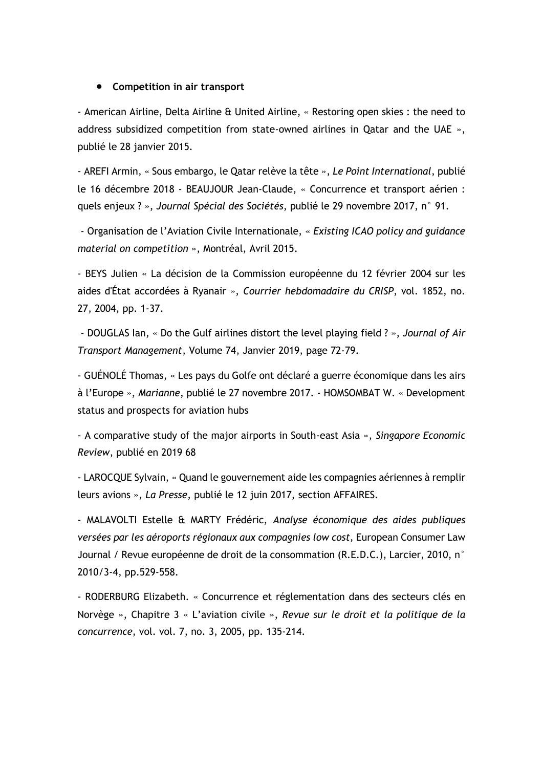#### • **Competition in air transport**

- American Airline, Delta Airline & United Airline, « Restoring open skies : the need to address subsidized competition from state-owned airlines in Qatar and the UAE », publié le 28 janvier 2015.

- AREFI Armin, « Sous embargo, le Qatar relève la tête », *Le Point International*, publié le 16 décembre 2018 - BEAUJOUR Jean-Claude, « Concurrence et transport aérien : quels enjeux ? », *Journal Spécial des Sociétés*, publié le 29 novembre 2017, n° 91.

- Organisation de l'Aviation Civile Internationale, « *Existing ICAO policy and guidance material on competition* », Montréal, Avril 2015.

- BEYS Julien « La décision de la Commission européenne du 12 février 2004 sur les aides d'État accordées à Ryanair », *Courrier hebdomadaire du CRISP*, vol. 1852, no. 27, 2004, pp. 1-37.

- DOUGLAS Ian, « Do the Gulf airlines distort the level playing field ? », *Journal of Air Transport Management*, Volume 74, Janvier 2019, page 72-79.

- GUÉNOLÉ Thomas, « Les pays du Golfe ont déclaré a guerre économique dans les airs à l'Europe », *Marianne*, publié le 27 novembre 2017. - HOMSOMBAT W. « Development status and prospects for aviation hubs

- A comparative study of the major airports in South-east Asia », *Singapore Economic Review*, publié en 2019 68

- LAROCQUE Sylvain, « Quand le gouvernement aide les compagnies aériennes à remplir leurs avions », *La Presse*, publié le 12 juin 2017, section AFFAIRES.

- MALAVOLTI Estelle & MARTY Frédéric, *Analyse économique des aides publiques versées par les aéroports régionaux aux compagnies low cost,* European Consumer Law Journal / Revue européenne de droit de la consommation  $(R.E.D.C.).$  Larcier, 2010, n° 2010/3-4, pp.529-558.

- RODERBURG Elizabeth. « Concurrence et réglementation dans des secteurs clés en Norvège », Chapitre 3 « L'aviation civile », *Revue sur le droit et la politique de la concurrence*, vol. vol. 7, no. 3, 2005, pp. 135-214.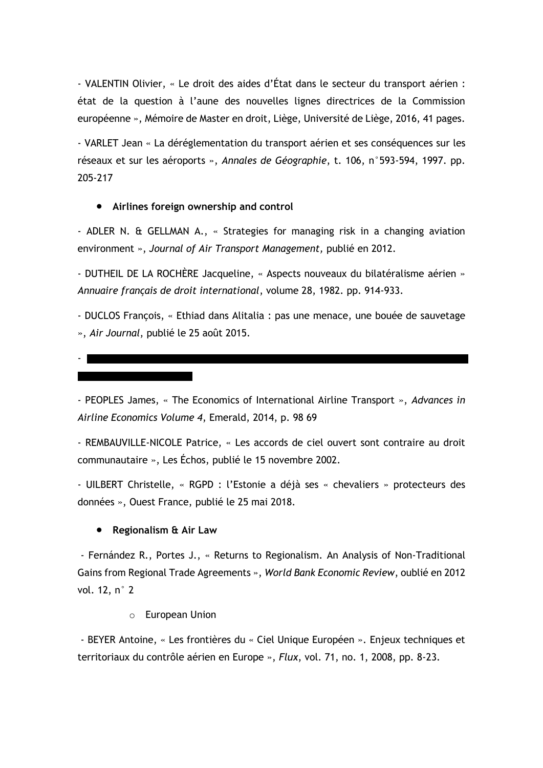- VALENTIN Olivier, « Le droit des aides d'État dans le secteur du transport aérien : état de la question à l'aune des nouvelles lignes directrices de la Commission européenne », Mémoire de Master en droit, Liège, Université de Liège, 2016, 41 pages.

- VARLET Jean « La déréglementation du transport aérien et ses conséquences sur les réseaux et sur les aéroports », *Annales de Géographie*, t. 106, n°593-594, 1997. pp. 205-217

## • **Airlines foreign ownership and control**

- ADLER N. & GELLMAN A., « Strategies for managing risk in a changing aviation environment », *Journal of Air Transport Management,* publié en 2012.

- DUTHEIL DE LA ROCHÈRE Jacqueline, « Aspects nouveaux du bilatéralisme aérien » *Annuaire français de droit international*, volume 28, 1982. pp. 914-933.

- DUCLOS François, « Ethiad dans Alitalia : pas une menace, une bouée de sauvetage », *Air Journal*, publié le 25 août 2015.

- 

- PEOPLES James, « The Economics of International Airline Transport », *Advances in Airline Economics Volume 4*, Emerald, 2014, p. 98 69

- REMBAUVILLE-NICOLE Patrice, « Les accords de ciel ouvert sont contraire au droit communautaire », Les Échos, publié le 15 novembre 2002.

- UILBERT Christelle, « RGPD : l'Estonie a déjà ses « chevaliers » protecteurs des données », Ouest France, publié le 25 mai 2018.

### • **Regionalism & Air Law**

- Fernández R., Portes J., « Returns to Regionalism. An Analysis of Non-Traditional Gains from Regional Trade Agreements », *World Bank Economic Review*, oublié en 2012 vol. 12, n° 2

o European Union

- BEYER Antoine, « Les frontières du « Ciel Unique Européen ». Enjeux techniques et territoriaux du contrôle aérien en Europe », *Flux*, vol. 71, no. 1, 2008, pp. 8-23.